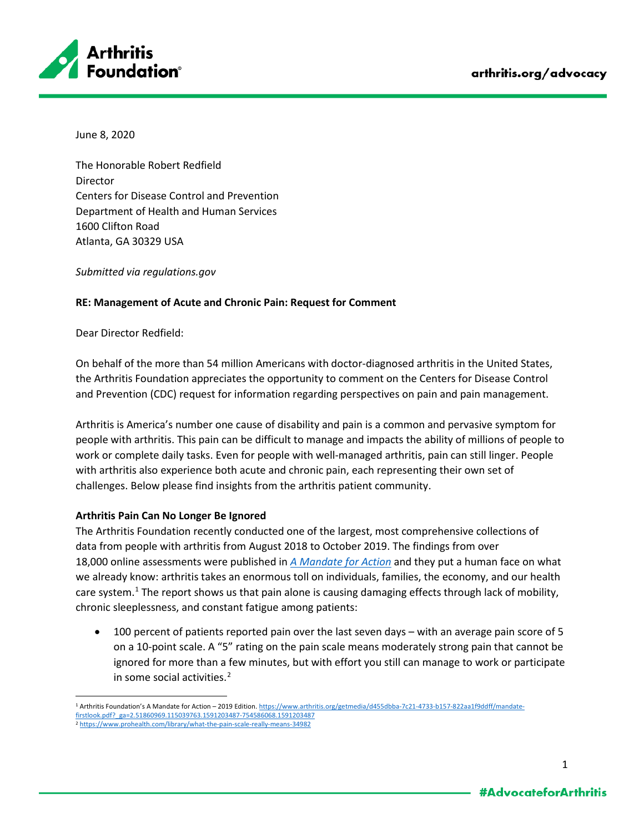

June 8, 2020

The Honorable Robert Redfield Director Centers for Disease Control and Prevention Department of Health and Human Services 1600 Clifton Road Atlanta, GA 30329 USA

*Submitted via regulations.gov*

## **RE: Management of Acute and Chronic Pain: Request for Comment**

Dear Director Redfield:

On behalf of the more than 54 million Americans with doctor-diagnosed arthritis in the United States, the Arthritis Foundation appreciates the opportunity to comment on the Centers for Disease Control and Prevention (CDC) request for information regarding perspectives on pain and pain management.

Arthritis is America's number one cause of disability and pain is a common and pervasive symptom for people with arthritis. This pain can be difficult to manage and impacts the ability of millions of people to work or complete daily tasks. Even for people with well-managed arthritis, pain can still linger. People with arthritis also experience both acute and chronic pain, each representing their own set of challenges. Below please find insights from the arthritis patient community.

## **Arthritis Pain Can No Longer Be Ignored**

The Arthritis Foundation recently conducted one of the largest, most comprehensive collections of data from people with arthritis from August 2018 to October 2019. The findings from over 18,000 online assessments were published in *[A Mandate for Action](https://www.arthritis.org/getmedia/d455dbba-7c21-4733-b157-822aa1f9ddff/mandate-firstlook.pdf?_ga=2.51860969.115039763.1591203487-754586068.1591203487)* and they put a human face on what we already know: arthritis takes an enormous toll on individuals, families, the economy, and our health care system. $1$  The report shows us that pain alone is causing damaging effects through lack of mobility, chronic sleeplessness, and constant fatigue among patients:

• 100 percent of patients reported pain over the last seven days – with an average pain score of 5 on a 10-point scale. A "5" rating on the pain scale means moderately strong pain that cannot be ignored for more than a few minutes, but with effort you still can manage to work or participate in some social activities.<sup>[2](#page-0-1)</sup>

<span id="page-0-0"></span><sup>1</sup> Arthritis Foundation's A Mandate for Action - 2019 Edition[. https://www.arthritis.org/getmedia/d455dbba-7c21-4733-b157-822aa1f9ddff/mandate](https://www.arthritis.org/getmedia/d455dbba-7c21-4733-b157-822aa1f9ddff/mandate-firstlook.pdf?_ga=2.51860969.115039763.1591203487-754586068.1591203487)[firstlook.pdf?\\_ga=2.51860969.115039763.1591203487-754586068.1591203487](https://www.arthritis.org/getmedia/d455dbba-7c21-4733-b157-822aa1f9ddff/mandate-firstlook.pdf?_ga=2.51860969.115039763.1591203487-754586068.1591203487)

<span id="page-0-1"></span><sup>2</sup> <https://www.prohealth.com/library/what-the-pain-scale-really-means-34982>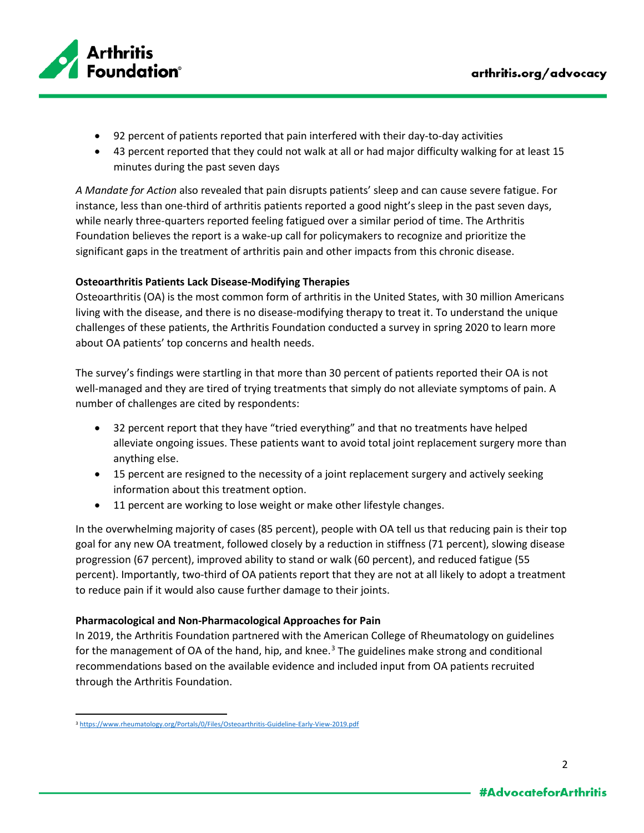

- 92 percent of patients reported that pain interfered with their day-to-day activities
- 43 percent reported that they could not walk at all or had major difficulty walking for at least 15 minutes during the past seven days

*A Mandate for Action* also revealed that pain disrupts patients' sleep and can cause severe fatigue. For instance, less than one-third of arthritis patients reported a good night's sleep in the past seven days, while nearly three-quarters reported feeling fatigued over a similar period of time. The Arthritis Foundation believes the report is a wake-up call for policymakers to recognize and prioritize the significant gaps in the treatment of arthritis pain and other impacts from this chronic disease.

## **Osteoarthritis Patients Lack Disease-Modifying Therapies**

Osteoarthritis (OA) is the most common form of arthritis in the United States, with 30 million Americans living with the disease, and there is no disease-modifying therapy to treat it. To understand the unique challenges of these patients, the Arthritis Foundation conducted a survey in spring 2020 to learn more about OA patients' top concerns and health needs.

The survey's findings were startling in that more than 30 percent of patients reported their OA is not well-managed and they are tired of trying treatments that simply do not alleviate symptoms of pain. A number of challenges are cited by respondents:

- 32 percent report that they have "tried everything" and that no treatments have helped alleviate ongoing issues. These patients want to avoid total joint replacement surgery more than anything else.
- 15 percent are resigned to the necessity of a joint replacement surgery and actively seeking information about this treatment option.
- 11 percent are working to lose weight or make other lifestyle changes.

In the overwhelming majority of cases (85 percent), people with OA tell us that reducing pain is their top goal for any new OA treatment, followed closely by a reduction in stiffness (71 percent), slowing disease progression (67 percent), improved ability to stand or walk (60 percent), and reduced fatigue (55 percent). Importantly, two-third of OA patients report that they are not at all likely to adopt a treatment to reduce pain if it would also cause further damage to their joints.

## **Pharmacological and Non-Pharmacological Approaches for Pain**

In 2019, the Arthritis Foundation partnered with the American College of Rheumatology on guidelines for the management of OA of the hand, hip, and knee.<sup>[3](#page-1-0)</sup> The guidelines make strong and conditional recommendations based on the available evidence and included input from OA patients recruited through the Arthritis Foundation.

<span id="page-1-0"></span><sup>3</sup> <https://www.rheumatology.org/Portals/0/Files/Osteoarthritis-Guideline-Early-View-2019.pdf>